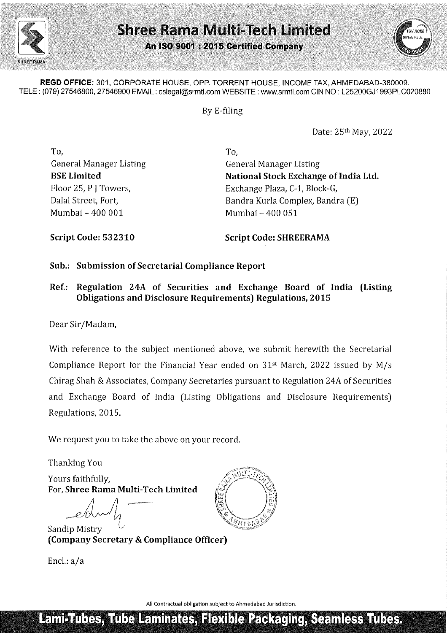



REGD OFFICE: 301, CORPORATE HOUSE, OPP. TORRENT HOUSE, INCOME TAX, AHMEDABAD-380009. TELE : (079) 27546800, 27546900 EMAIL : cslegal@srmtl.com WEBSITE : www.srmt!.com CIN NO : L25200GJ1993PLC020880

By E-filing

Date: 25th May, 2022

To, To, Mumbai - 400 001 Mumbai — 400 051

General Manager Listing General Manager Listing BSE Limited National Stock Exchange of India Ltd. Floor 25, P J Towers, Exchange Plaza, C-1, Block-G, Dalal Street, Fort, The Street Complex, Bandra (E)

Script Code: 532310 Script Code: SHREERAMA

## Sub.: Submission of Secretarial Compliance Report

Ref.: Regulation 24A of Securities and Exchange Board of India (Listing Obligations and Disclosure Requirements) Regulations, 2015

Dear Sir/Madam,

Piote 2s, P | I owers,<br>
Dalal Street, Fort,<br>
Mumbai - 400 001<br>
Script Code: 532310<br>
Sub.: Submission of Secretarial Compliar<br>
Ref.: Regulation 24A of Securities are obligations and Disclosure Require<br>
Dear Sir/Madam,<br>
Wit With reference to the subject mentioned above, we submit herewith the Secretarial Compliance Report for the Financial Year ended on 31st March, 2022 issued by M/s Chirag Shah & Associates, Company Secretaries pursuant to Regulation 24A of Securities and Exchange Board of India (Listing Obligations and Disclosure Requirements) Regulations, 2015.

We request you to take the above on your record.

Thanking You

Yours faithfully, For, Shree Rama Multi-Tech Limited

pean and the company of the company of the company of the company of the company of the company of the company of the company of the company of the company of the company of the company of the company of the company of the  $e^{\frac{1}{2}}$  $\backslash$ 

Sandip Mistry (Company Secretary & Compliance Officer)

Encl.: a/a



All Contractual obligation subject to Ahmedabad Jurisdiction.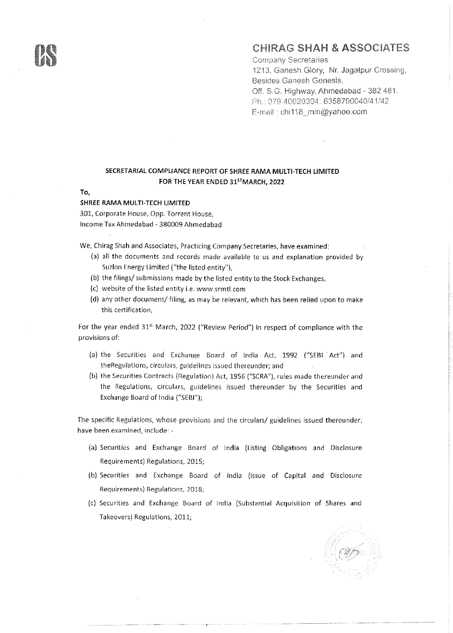## CHIRAG SHAH & ASSOCIATES

**Company Secretaries** 1213, Ganash Glory, Nr. Jagatpur Crossing, Besides Ganesh Genesis, OF. S.G. Highway. Ahmedabad - 382 481. Ph. O79-40020304, 6358790040/4 1/42 E-mail: chi¢18\_min@yahoo.com

## SECRETARIAL COMPLIANCE REPORT OF SHREE RAMA MULTI-TECH LIMITED FOR THE YEAR ENDED 315"MARCH, 2022

To,

## SHREE RAMA MULTI-TECH LIMITED

301, Corporate House, Opp. Torrent House, Income Tax Ahmedabad - 380009 Ahmedabad

We, Chirag Shah and Associates, Practicing Company Secretaries, have examined:

- (a) all the documents and records made available to us and explanation provided by Suzlon Energy Limited ("the listed entity"),
- (b) the filings/ submissions made by the listed entity to the Stock Exchanges,
- (c) website of the listed entity i.e. www.srmtl.com
- (d) any other document/ filing, as may be relevant, which has been relied upon to make this certification,

For the year ended 31% March, 2022 ("Review Period") in respect of compliance with the provisions of:

- (a) the Securities and Exchange Board of India Act, 1992 ("SEBI "Act'} and theRegulatians, circulars, guidelines issued thereunder; and
- {b) the Securities Contracts (Regulation) Act, 1956 ("SCRA"), rules made thereunder and the Regulations, circulars, guidelines issued thereunder by the Securities and Exchange Board of india ("SEBI");

The specific Regulations, whose provisions and the circulars/ guidelines issued thereunder, have been examined, include: -

- (a) Securities and Exchange Board of India (Listing Obligations and Disclosure Requirements) Regulations, 2015;
- (b) Securities and Exchange Board of india (Issue of Capital and Disclosure Requirements} Regulations, 2018;
- (c) Securities and Exchange Board of india (Substantial Acquisition of Shares and Takeovers) Regulations, 2011;



j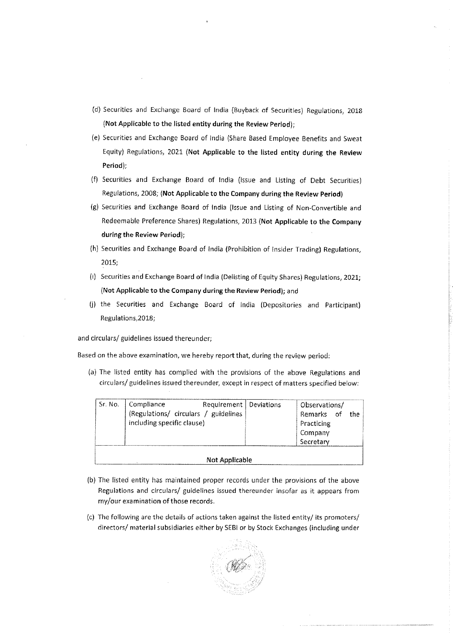- (d) Securities and Exchange Board of India (Buyback of Securities) Regulations, 2018 {Not Applicable to the listed entity during the Review Period);
- (e}) Securities and Exchange Board of India (Share Based Employee Benefits and Sweat Equity) Regulations, 2021 (Not Applicable to the listed entity during the Review Period):
- (f) Securities and Exchange Board of India (issue and Listing of Debt Securities) Regulations, 2008; (Not Applicable to the Company during the Review Period)
- (g) Securities and Exchange Board of India (Issue and Listing of Non-Convertibie and Redeemable Preference Shares) Regulations, 2013 (Not Applicable to the Company during the Review Period); expression and Exchange Board of India (Equity) Regulations, 2021 (Not Applicab<br>Period);<br>Securities and Exchange Board of Indi<br>Regulations, 2008; (Not Applicable to the<br>Securities and Exchange Board of India<br>Redeemable Pre
- (h) Securities and Exchange Board of India (Prohibition of Insider Trading) Regulations, 2015;
- (i) Securities and Exchange Board of India (Delisting of Equity Shares) Regulations, 2021; (Not Applicable to the Company during the Review Period); and
- (j) the Securities and Exchange Board of India (Depositories and Participant) Regulations,2018;

and circulars/ guidelines issued thereunder;

Based on the above examination, we hereby report that, during the review period:

|                                                                                                                                                                             | actual and anonange board or mone poste and caring or beber becames).                   |  |             |  |            |                       |    |     |  |
|-----------------------------------------------------------------------------------------------------------------------------------------------------------------------------|-----------------------------------------------------------------------------------------|--|-------------|--|------------|-----------------------|----|-----|--|
|                                                                                                                                                                             | Regulations, 2008; (Not Applicable to the Company during the Review Period)             |  |             |  |            |                       |    |     |  |
|                                                                                                                                                                             | g) Securities and Exchange Board of India (Issue and Listing of Non-Convertible and     |  |             |  |            |                       |    |     |  |
|                                                                                                                                                                             | Redeemable Preference Shares) Regulations, 2013 (Not Applicable to the Company          |  |             |  |            |                       |    |     |  |
| during the Review Period);                                                                                                                                                  |                                                                                         |  |             |  |            |                       |    |     |  |
|                                                                                                                                                                             | h) Securities and Exchange Board of India (Prohibition of Insider Trading) Regulations, |  |             |  |            |                       |    |     |  |
| 2015;                                                                                                                                                                       |                                                                                         |  |             |  |            |                       |    |     |  |
| ) Securities and Exchange Board of India (Delisting of Equity Shares) Regulations, 2021;                                                                                    |                                                                                         |  |             |  |            |                       |    |     |  |
| (Not Applicable to the Company during the Review Period); and                                                                                                               |                                                                                         |  |             |  |            |                       |    |     |  |
|                                                                                                                                                                             |                                                                                         |  |             |  |            |                       |    |     |  |
| ) the Securities and Exchange Board of India (Depositories and Participant)<br>Regulations, 2018;                                                                           |                                                                                         |  |             |  |            |                       |    |     |  |
|                                                                                                                                                                             |                                                                                         |  |             |  |            |                       |    |     |  |
| irculars/ guidelines issued thereunder;                                                                                                                                     |                                                                                         |  |             |  |            |                       |    |     |  |
| I on the above examination, we hereby report that, during the review period:                                                                                                |                                                                                         |  |             |  |            |                       |    |     |  |
|                                                                                                                                                                             |                                                                                         |  |             |  |            |                       |    |     |  |
| ) The listed entity has complied with the provisions of the above Regulations and<br>circulars/ guidelines issued thereunder, except in respect of matters specified below: |                                                                                         |  |             |  |            |                       |    |     |  |
|                                                                                                                                                                             |                                                                                         |  |             |  |            |                       |    |     |  |
| Sr. No.                                                                                                                                                                     | Compliance                                                                              |  | Requirement |  | Deviations | Observations/         |    |     |  |
|                                                                                                                                                                             | (Regulations/ circulars / guidelines<br>including specific clause)                      |  |             |  |            | <b>Remarks</b>        | of | the |  |
|                                                                                                                                                                             |                                                                                         |  |             |  |            | Practicing<br>Company |    |     |  |
|                                                                                                                                                                             |                                                                                         |  |             |  |            | Secretary             |    |     |  |
|                                                                                                                                                                             |                                                                                         |  |             |  |            |                       |    |     |  |
|                                                                                                                                                                             | <b>Not Applicable</b>                                                                   |  |             |  |            |                       |    |     |  |
|                                                                                                                                                                             |                                                                                         |  |             |  |            |                       |    |     |  |

- (b) The fisted entity has maintained proper records under the provisions of the above Regulations and circulars/ guidelines issued thereunder insofar as it appears from my/our examination of those records.
- {c) The following are the details of actions taken against the listed entity/ its promoters/ directors/ material subsidiaries either by SEBI or by Stock Exchanges (including under